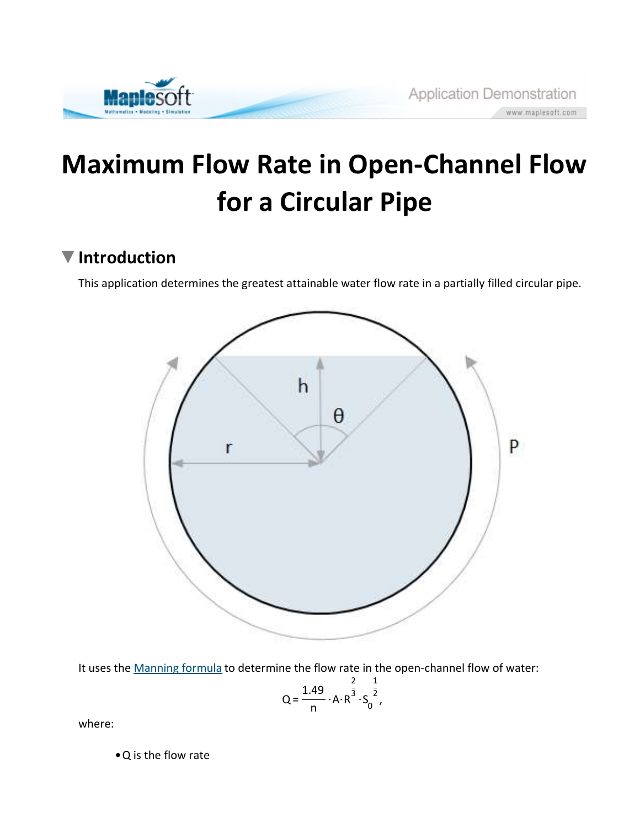

# Maximum Flow Rate in Open-Channel Flow for a Circular Pipe

## ▼ Introduction

This application determines the greatest attainable water flow rate in a partially filled circular pipe.



It uses the Manning formula to determine the flow rate in the open-channel flow of water:

$$
Q = \frac{1.49}{n} \cdot A \cdot R^{\frac{2}{3}} \cdot S_0^{\frac{1}{2}},
$$

where:

• Q is the flow rate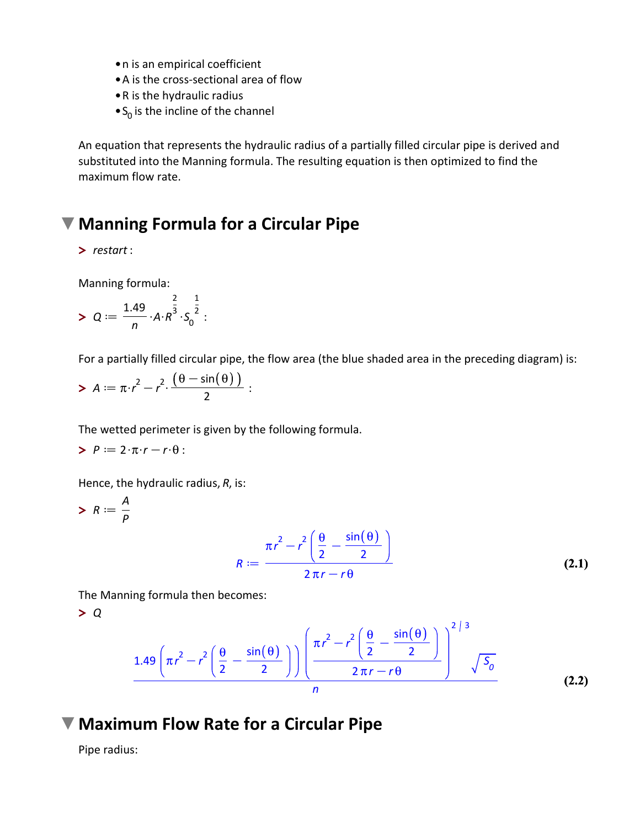- n is an empirical coefficient
- A is the cross-sectional area of flow
- R is the hydraulic radius
- $\bullet$  S<sub>0</sub> is the incline of the channel

An equation that represents the hydraulic radius of a partially filled circular pipe is derived and substituted into the Manning formula. The resulting equation is then optimized to find the maximum flow rate.

### Manning Formula for a Circular Pipe

> restart :

Manning formula:

> 
$$
Q := \frac{1.49}{n} \cdot A \cdot R^{\frac{2}{3}} \cdot S_0^{\frac{1}{2}}
$$
:

For a partially filled circular pipe, the flow area (the blue shaded area in the preceding diagram) is:

$$
A := \pi \cdot r^2 - r^2 \cdot \frac{(\theta - \sin(\theta))}{2} :
$$

The wetted perimeter is given by the following formula.

$$
P := 2 \cdot \pi \cdot r - r \cdot \theta :
$$

Hence, the hydraulic radius, R, is:

$$
\triangleright R := \frac{A}{p}
$$
\n
$$
R := \frac{\pi r^2 - r^2 \left(\frac{\theta}{2} - \frac{\sin(\theta)}{2}\right)}{2\pi r - r\theta}
$$
\n(2.1)

The Manning formula then becomes:

> Q

$$
\frac{1.49\left(\pi r^2 - r^2\left(\frac{\theta}{2} - \frac{\sin(\theta)}{2}\right)\right)\left(\frac{\pi r^2 - r^2\left(\frac{\theta}{2} - \frac{\sin(\theta)}{2}\right)}{2\pi r - r\theta}\right)^{2/3} \sqrt{S_0}}{n}
$$
 (2.2)

#### Maximum Flow Rate for a Circular Pipe

Pipe radius: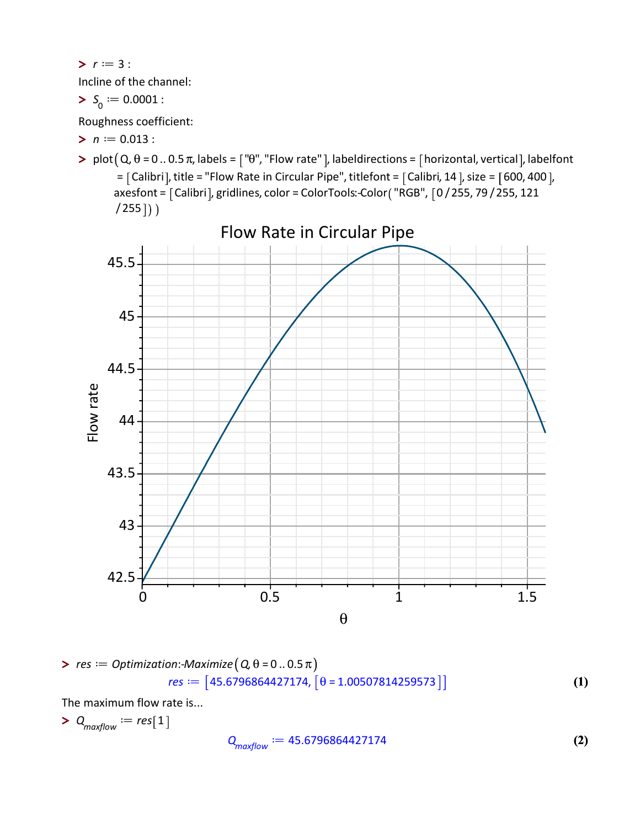$> r := 3:$ 

Incline of the channel:

$$
S_0 := 0.0001:
$$

Roughness coefficient:

- $> n := 0.013$  :
- > plot  $(Q, \theta = 0 ... 0.5 \pi$ , labels =  $\lceil$  " $\theta$ ", "Flow rate" ], labeldirections =  $\lceil$  horizontal, vertical ], labelfont  $=$  [Calibri], title = "Flow Rate in Circular Pipe", titlefont = [Calibri, 14], size = [600, 400], axesfont =  $[Calibri]$ , gridlines, color = ColorTools: Color $($  "RGB",  $[0/255, 79/255, 121]$  $(255)$ )



> res := Optimization:Maximize (Q, 
$$
\theta = 0..0.5\pi
$$
)  
res := [45.6796864427174, [ $\theta = 1.00507814259573$ ]] (1)

The maximum flow rate is...

 $> Q_{maxflow} := res[1]$ 

$$
Q_{maxflow} := 45.6796864427174 \tag{2}
$$